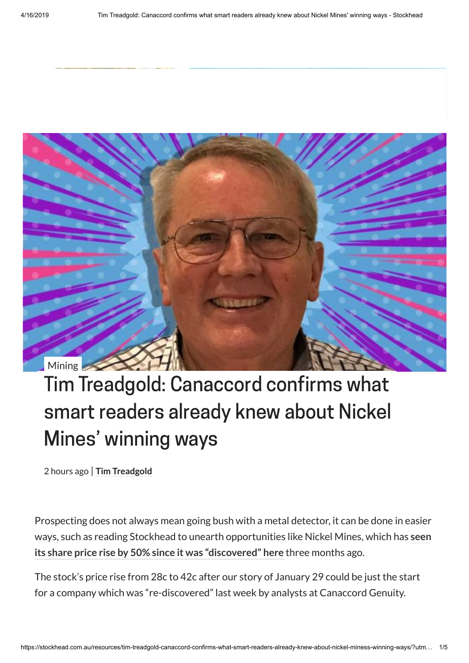

## Tim Treadgold: Canaccord confirms what smart readers already knew about Nickel Mines' winning ways

2 hours ago | **Tim [Treadgold](https://stockhead.com.au/author/tim-treadgold/)**

Prospecting does not always mean going bush with a metal detector, it can be done in easier ways, such as reading Stockhead to unearth [opportunities](https://stockhead.com.au/resources/tim-treadgold-nickel-mines-carves-out-a-slice-of-the-indonesian-nickel-business/) like Nickel Mines, which has **seen its share price rise by 50% since it was "discovered" here** three months ago.

The stock's price rise from 28c to 42c after our story of January 29 could be just the start for a company which was "re-discovered" last week by analysts at Canaccord Genuity.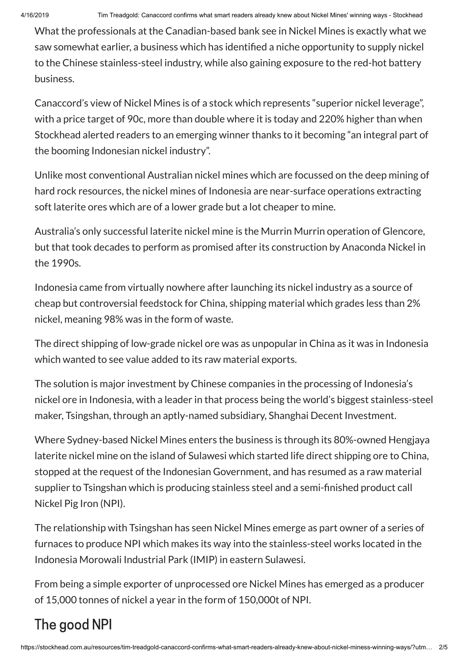What the professionals at the Canadian-based bank see in Nickel Mines is exactly what we saw somewhat earlier, a business which has identified a niche opportunity to supply nickel to the Chinese stainless-steel industry, while also gaining exposure to the red-hot battery business.

Canaccord's view of Nickel Mines is of a stock which represents "superior nickel leverage", with a price target of 90c, more than double where it is today and 220% higher than when Stockhead alerted readers to an emerging winner thanks to it becoming "an integral part of the booming Indonesian nickel industry".

Unlike most conventional Australian nickel mines which are focussed on the deep mining of hard rock resources, the nickel mines of Indonesia are near-surface operations extracting soft laterite ores which are of a lower grade but a lot cheaper to mine.

Australia's only successful laterite nickel mine is the Murrin Murrin operation of Glencore, but that took decades to perform as promised after its construction by Anaconda Nickel in the 1990s.

Indonesia came from virtually nowhere after launching its nickel industry as a source of cheap but controversial feedstock for China, shipping material which grades less than 2% nickel, meaning 98% was in the form of waste.

The direct shipping of low-grade nickel ore was as unpopular in China as it was in Indonesia which wanted to see value added to its raw material exports.

The solution is major investment by Chinese companies in the processing of Indonesia's nickel ore in Indonesia, with a leader in that process being the world's biggest stainless-steel maker, Tsingshan, through an aptly-named subsidiary, Shanghai Decent Investment.

Where Sydney-based Nickel Mines enters the business is through its 80%-owned Hengjaya laterite nickel mine on the island of Sulawesi which started life direct shipping ore to China, stopped at the request of the Indonesian Government, and has resumed as a raw material supplier to Tsingshan which is producing stainless steel and a semi-finished product call Nickel Pig Iron (NPI).

The relationship with Tsingshan has seen Nickel Mines emerge as part owner of a series of furnaces to produce NPI which makes its way into the stainless-steel works located in the Indonesia Morowali Industrial Park (IMIP) in eastern Sulawesi.

From being a simple exporter of unprocessed ore Nickel Mines has emerged as a producer of 15,000 tonnes of nickel a year in the form of 150,000t of NPI.

## The good NPI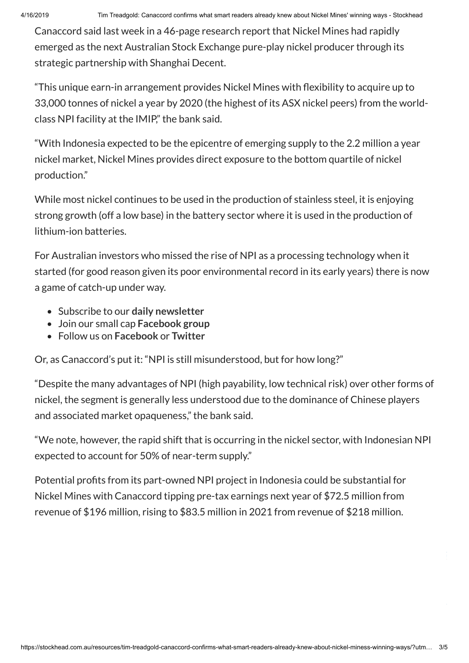Canaccord said last week in a 46-page research report that Nickel Mines had rapidly emerged as the next Australian Stock Exchange pure-play nickel producer through its strategic partnership with Shanghai Decent.

"This unique earn-in arrangement provides Nickel Mines with flexibility to acquire up to 33,000 tonnes of nickel a year by 2020 (the highest of its ASX nickel peers) from the worldclass NPI facility at the IMIP," the bank said.

"With Indonesia expected to be the epicentre of emerging supply to the 2.2 million a year nickel market, Nickel Mines provides direct exposure to the bottom quartile of nickel production."

While most nickel continues to be used in the production of stainless steel, it is enjoying strong growth (off a low base) in the battery sector where it is used in the production of lithium-ion batteries.

For Australian investors who missed the rise of NPI as a processing technology when it started (for good reason given its poor environmental record in its early years) there is now a game of catch-up under way.

- Subscribe to our **daily [newsletter](https://stockhead.com.au/subscription/)**
- Join our small cap **[Facebook](https://www.facebook.com/groups/Stockhead/) group**
- Follow us on **[Facebook](https://www.facebook.com/StockheadAU)** or **[Twitter](https://twitter.com/StockheadAU)**

Or, as Canaccord's put it: "NPI is still misunderstood, but for how long?"

"Despite the many advantages of NPI (high payability, low technical risk) over other forms of nickel, the segment is generally less understood due to the dominance of Chinese players and associated market opaqueness," the bank said.

"We note, however, the rapid shift that is occurring in the nickel sector, with Indonesian NPI expected to account for 50% of near-term supply."

Potential profits from its part-owned NPI project in Indonesia could be substantial for Nickel Mines with Canaccord tipping pre-tax earnings next year of \$72.5 million from revenue of \$196 million, rising to \$83.5 million in 2021 from revenue of \$218 million.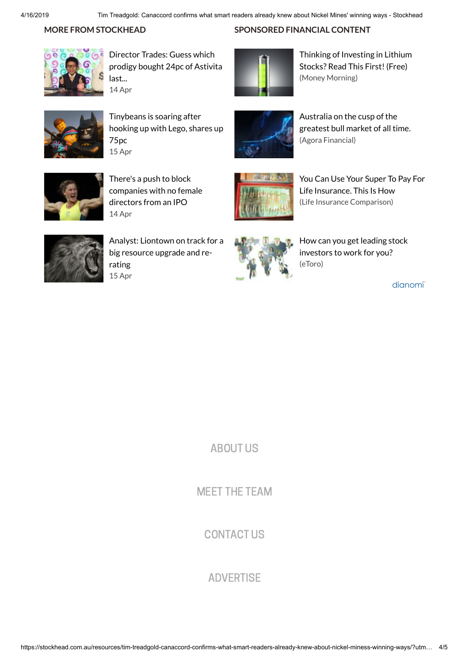**SPONSORED FINANCIAL CONTENT**

## **MORE FROM STOCKHEAD**



Director Trades: Guess which prodigy [bought 24pc](https://www.dianomi.com/click.epl?url_id=448523974&ru_variant_id=67) of Astivita last... 14 Apr



[Tinybeans](https://www.dianomi.com/click.epl?url_id=448567581&ru_variant_id=67) is soaring after hooking up with Lego, shares up 75pc 15 Apr



Australia on the cusp of the [greatest bull](https://www.dianomi.com/click.epl?pn=36771&offer=9778787&savid=98280&said=3490&adv=5501&unique_id=XLUJgIJocDaRdQAq5@DedQAAAA0&smartreferer=https%3A%2F%2Fstockhead%2Ecom%2Eau%2Fresources%2Ftim%2Dtreadgold%2Dcanaccord%2Dconfirms%2Dwhat%2Dsmart%2Dreaders%2Dalready%2Dknew%2Dabout%2Dnickel%2Dminess%2Dwinning%2Dways%2F%3Futm_medium%3Demail%26utm_campaign%3DMorning%2520ASX%2520small%2520cap%2520wrap%2520Tues%2520April%252016%26utm_content%3DMorning%2520ASX%2520small%2520cap%2520wrap%2520Tues%2520April%252016%2BCID_ea937f6c11364f519e7f02e141e1227a%26utm_source%3DCampaign%2520Monitor%26utm_term%3DTim%2520Treadgold%2520Canaccord%2520confirms%2520what%2520smart%2520readers%2520already%2520knew%2520about%2520Nickel%2520Mines%2520winning%2520ways) market of all time.

Thinking of [Investing](https://www.dianomi.com/click.epl?pn=39958&offer=10502389&savid=106935&said=3490&adv=5501&unique_id=XLUJgIJocDaRdQAq5@DedQAAAA0&smartreferer=https%3A%2F%2Fstockhead%2Ecom%2Eau%2Fresources%2Ftim%2Dtreadgold%2Dcanaccord%2Dconfirms%2Dwhat%2Dsmart%2Dreaders%2Dalready%2Dknew%2Dabout%2Dnickel%2Dminess%2Dwinning%2Dways%2F%3Futm_medium%3Demail%26utm_campaign%3DMorning%2520ASX%2520small%2520cap%2520wrap%2520Tues%2520April%252016%26utm_content%3DMorning%2520ASX%2520small%2520cap%2520wrap%2520Tues%2520April%252016%2BCID_ea937f6c11364f519e7f02e141e1227a%26utm_source%3DCampaign%2520Monitor%26utm_term%3DTim%2520Treadgold%2520Canaccord%2520confirms%2520what%2520smart%2520readers%2520already%2520knew%2520about%2520Nickel%2520Mines%2520winning%2520ways) in Lithium Stocks? Read This First! (Free)

(Money Morning)



There's a push to block [companies](https://www.dianomi.com/click.epl?url_id=448532012&ru_variant_id=67) with no female directors from an IPO 14 Apr



You Can Use Your Super To Pay For Life Insurance. This Is How (Life Insurance [Comparison\)](https://www.dianomi.com/click.epl?pn=25767&offer=7303700&savid=101395&said=3490&adv=5501&unique_id=XLUJgIJocDaRdQAq5@DedQAAAA0&smartreferer=https%3A%2F%2Fstockhead%2Ecom%2Eau%2Fresources%2Ftim%2Dtreadgold%2Dcanaccord%2Dconfirms%2Dwhat%2Dsmart%2Dreaders%2Dalready%2Dknew%2Dabout%2Dnickel%2Dminess%2Dwinning%2Dways%2F%3Futm_medium%3Demail%26utm_campaign%3DMorning%2520ASX%2520small%2520cap%2520wrap%2520Tues%2520April%252016%26utm_content%3DMorning%2520ASX%2520small%2520cap%2520wrap%2520Tues%2520April%252016%2BCID_ea937f6c11364f519e7f02e141e1227a%26utm_source%3DCampaign%2520Monitor%26utm_term%3DTim%2520Treadgold%2520Canaccord%2520confirms%2520what%2520smart%2520readers%2520already%2520knew%2520about%2520Nickel%2520Mines%2520winning%2520ways)



[Analyst: Liontown](https://www.dianomi.com/click.epl?url_id=448588224&ru_variant_id=67) on track for a big resource upgrade and rerating 15 Apr



How can you [get leading](https://www.dianomi.com/click.epl?pn=44440&offer=11497229&savid=117215&said=3490&adv=5501&unique_id=XLUJgIJocDaRdQAq5@DedQAAAA0&smartreferer=https%3A%2F%2Fstockhead%2Ecom%2Eau%2Fresources%2Ftim%2Dtreadgold%2Dcanaccord%2Dconfirms%2Dwhat%2Dsmart%2Dreaders%2Dalready%2Dknew%2Dabout%2Dnickel%2Dminess%2Dwinning%2Dways%2F%3Futm_medium%3Demail%26utm_campaign%3DMorning%2520ASX%2520small%2520cap%2520wrap%2520Tues%2520April%252016%26utm_content%3DMorning%2520ASX%2520small%2520cap%2520wrap%2520Tues%2520April%252016%2BCID_ea937f6c11364f519e7f02e141e1227a%26utm_source%3DCampaign%2520Monitor%26utm_term%3DTim%2520Treadgold%2520Canaccord%2520confirms%2520what%2520smart%2520readers%2520already%2520knew%2520about%2520Nickel%2520Mines%2520winning%2520ways) stock investors to work for you? (eToro)

dianomi<sup>-</sup>

[ABOUT](https://stockhead.com.au/about-us) US

MEET THE [TEAM](https://stockhead.com.au/meet-the-stockheads)

[CONTACT](https://stockhead.com.au/contact-us) US

**[ADVERTISE](https://stockhead.com.au/advertise-with-us)**